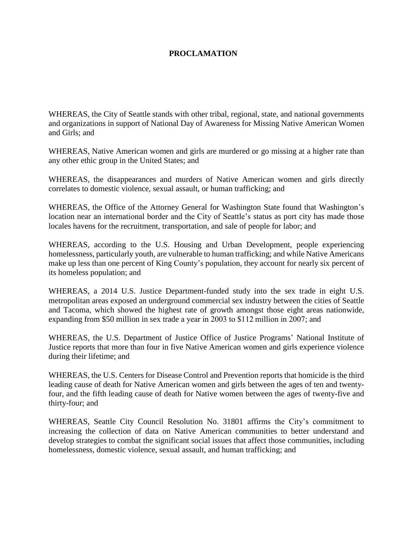## **PROCLAMATION**

WHEREAS, the City of Seattle stands with other tribal, regional, state, and national governments and organizations in support of National Day of Awareness for Missing Native American Women and Girls; and

WHEREAS, Native American women and girls are murdered or go missing at a higher rate than any other ethic group in the United States; and

WHEREAS, the disappearances and murders of Native American women and girls directly correlates to domestic violence, sexual assault, or human trafficking; and

WHEREAS, the Office of the Attorney General for Washington State found that Washington's location near an international border and the City of Seattle's status as port city has made those locales havens for the recruitment, transportation, and sale of people for labor; and

WHEREAS, according to the U.S. Housing and Urban Development, people experiencing homelessness, particularly youth, are vulnerable to human trafficking; and while Native Americans make up less than one percent of King County's population, they account for nearly six percent of its homeless population; and

WHEREAS, a 2014 U.S. Justice Department-funded study into the sex trade in eight U.S. metropolitan areas exposed an underground commercial sex industry between the cities of Seattle and Tacoma, which showed the highest rate of growth amongst those eight areas nationwide, expanding from \$50 million in sex trade a year in 2003 to \$112 million in 2007; and

WHEREAS, the U.S. Department of Justice Office of Justice Programs' National Institute of Justice reports that more than four in five Native American women and girls experience violence during their lifetime; and

WHEREAS, the U.S. Centers for Disease Control and Prevention reports that homicide is the third leading cause of death for Native American women and girls between the ages of ten and twentyfour, and the fifth leading cause of death for Native women between the ages of twenty-five and thirty-four; and

WHEREAS, Seattle City Council Resolution No. 31801 affirms the City's commitment to increasing the collection of data on Native American communities to better understand and develop strategies to combat the significant social issues that affect those communities, including homelessness, domestic violence, sexual assault, and human trafficking; and